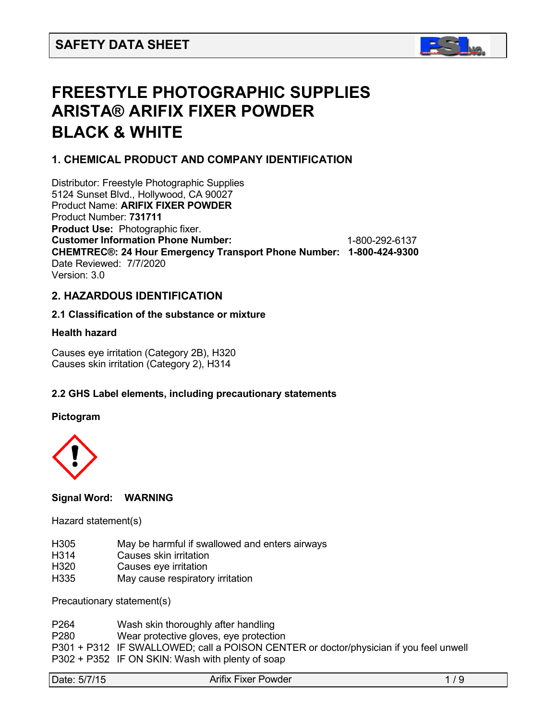

# **FREESTYLE PHOTOGRAPHIC SUPPLIES ARISTA® ARIFIX FIXER POWDER BLACK & WHITE**

## **1. CHEMICAL PRODUCT AND COMPANY IDENTIFICATION**

Distributor: Freestyle Photographic Supplies 5124 Sunset Blvd., Hollywood, CA 90027 Product Name: **ARIFIX FIXER POWDER** Product Number: **731711 Product Use:** Photographic fixer. **Customer Information Phone Number:** 1-800-292-6137 **CHEMTREC®: 24 Hour Emergency Transport Phone Number: 1-800-424-9300** Date Reviewed: 7/7/2020 Version: 3.0

## **2. HAZARDOUS IDENTIFICATION**

#### **2.1 Classification of the substance or mixture**

#### **Health hazard**

Causes eye irritation (Category 2B), H320 Causes skin irritation (Category 2), H314

## **2.2 GHS Label elements, including precautionary statements**

#### **Pictogram**



#### **Signal Word: WARNING**

#### Hazard statement(s)

- H305 May be harmful if swallowed and enters airways
- H314 Causes skin irritation<br>H320 Causes eve irritation
- Causes eve irritation
- H335 May cause respiratory irritation

Precautionary statement(s)

- P264 Wash skin thoroughly after handling
- P280 Wear protective gloves, eye protection

P301 + P312 IF SWALLOWED; call a POISON CENTER or doctor/physician if you feel unwell P302 + P352 IF ON SKIN: Wash with plenty of soap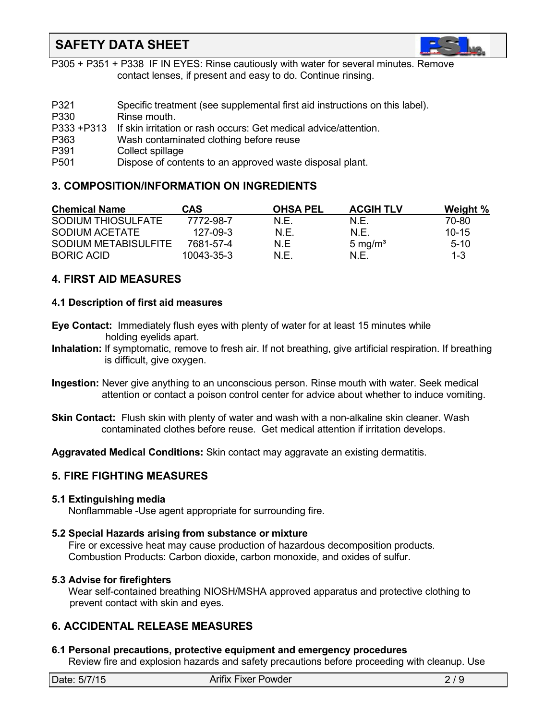

P305 + P351 + P338 IF IN EYES: Rinse cautiously with water for several minutes. Remove contact lenses, if present and easy to do. Continue rinsing.

| P321             | Specific treatment (see supplemental first aid instructions on this label). |
|------------------|-----------------------------------------------------------------------------|
| P330             | Rinse mouth.                                                                |
|                  | P333 +P313 If skin irritation or rash occurs: Get medical advice/attention. |
| P363             | Wash contaminated clothing before reuse                                     |
| P391             | Collect spillage                                                            |
| P <sub>501</sub> | Dispose of contents to an approved waste disposal plant.                    |

## **3. COMPOSITION/INFORMATION ON INGREDIENTS**

| <b>Chemical Name</b> | CAS            | <b>OHSA PEL</b> | <b>ACGIH TLV</b>    | Weight %  |
|----------------------|----------------|-----------------|---------------------|-----------|
| SODIUM THIOSULFATE   | 7772-98-7      | N.E.            | N F.                | 70-80     |
| SODIUM ACETATE       | $127 - 09 - 3$ | N.E.            | N F.                | $10 - 15$ |
| SODIUM METABISULFITE | 7681-57-4      | N F             | 5 mg/m <sup>3</sup> | $5-10$    |
| <b>BORIC ACID</b>    | 10043-35-3     | N.E.            | N F                 | $1 - 3$   |

## **4. FIRST AID MEASURES**

### **4.1 Description of first aid measures**

- **Eye Contact:** Immediately flush eyes with plenty of water for at least 15 minutes while holding eyelids apart.
- **Inhalation:** If symptomatic, remove to fresh air. If not breathing, give artificial respiration. If breathing is difficult, give oxygen.
- **Ingestion:** Never give anything to an unconscious person. Rinse mouth with water. Seek medical attention or contact a poison control center for advice about whether to induce vomiting.
- **Skin Contact:** Flush skin with plenty of water and wash with a non-alkaline skin cleaner. Wash contaminated clothes before reuse. Get medical attention if irritation develops.

**Aggravated Medical Conditions:** Skin contact may aggravate an existing dermatitis.

## **5. FIRE FIGHTING MEASURES**

#### **5.1 Extinguishing media**

Nonflammable -Use agent appropriate for surrounding fire.

#### **5.2 Special Hazards arising from substance or mixture**

Fire or excessive heat may cause production of hazardous decomposition products. Combustion Products: Carbon dioxide, carbon monoxide, and oxides of sulfur.

#### **5.3 Advise for firefighters**

Wear self-contained breathing NIOSH/MSHA approved apparatus and protective clothing to prevent contact with skin and eyes.

## **6. ACCIDENTAL RELEASE MEASURES**

## **6.1 Personal precautions, protective equipment and emergency procedures**

Review fire and explosion hazards and safety precautions before proceeding with cleanup. Use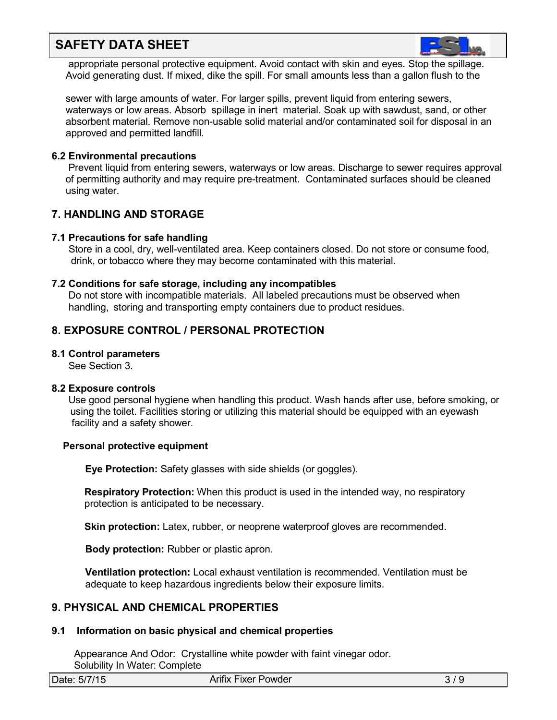

appropriate personal protective equipment. Avoid contact with skin and eyes. Stop the spillage. Avoid generating dust. If mixed, dike the spill. For small amounts less than a gallon flush to the

sewer with large amounts of water. For larger spills, prevent liquid from entering sewers, waterways or low areas. Absorb spillage in inert material. Soak up with sawdust, sand, or other absorbent material. Remove non-usable solid material and/or contaminated soil for disposal in an approved and permitted landfill.

#### **6.2 Environmental precautions**

Prevent liquid from entering sewers, waterways or low areas. Discharge to sewer requires approval of permitting authority and may require pre-treatment. Contaminated surfaces should be cleaned using water.

### **7. HANDLING AND STORAGE**

#### **7.1 Precautions for safe handling**

Store in a cool, dry, well-ventilated area. Keep containers closed. Do not store or consume food, drink, or tobacco where they may become contaminated with this material.

#### **7.2 Conditions for safe storage, including any incompatibles**

Do not store with incompatible materials. All labeled precautions must be observed when handling, storing and transporting empty containers due to product residues.

## **8. EXPOSURE CONTROL / PERSONAL PROTECTION**

#### **8.1 Control parameters**

See Section 3.

#### **8.2 Exposure controls**

Use good personal hygiene when handling this product. Wash hands after use, before smoking, or using the toilet. Facilities storing or utilizing this material should be equipped with an eyewash facility and a safety shower.

#### **Personal protective equipment**

**Eye Protection:** Safety glasses with side shields (or goggles).

**Respiratory Protection:** When this product is used in the intended way, no respiratory protection is anticipated to be necessary.

**Skin protection:** Latex, rubber, or neoprene waterproof gloves are recommended.

**Body protection:** Rubber or plastic apron.

**Ventilation protection:** Local exhaust ventilation is recommended. Ventilation must be adequate to keep hazardous ingredients below their exposure limits.

#### **9. PHYSICAL AND CHEMICAL PROPERTIES**

#### **9.1 Information on basic physical and chemical properties**

Appearance And Odor: Crystalline white powder with faint vinegar odor. Solubility In Water: Complete

| Date: 5/7/15 | Arifix Fixer Powder | . ر ب |
|--------------|---------------------|-------|
|              |                     |       |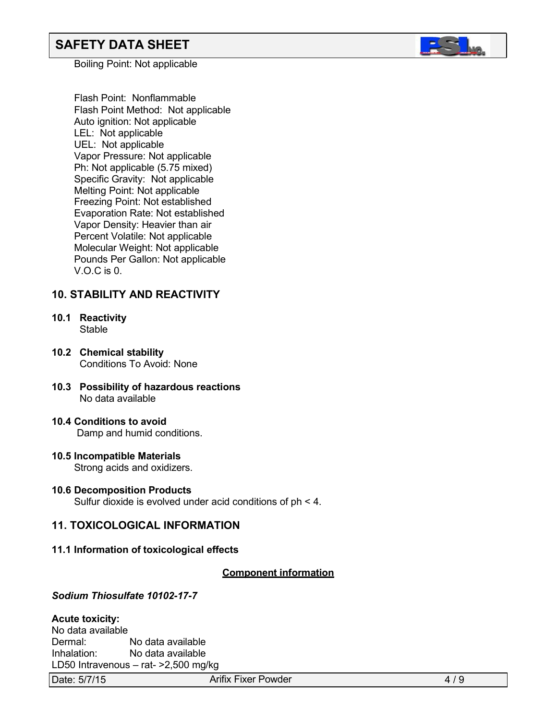Boiling Point: Not applicable

Flash Point: Nonflammable Flash Point Method: Not applicable Auto ignition: Not applicable LEL: Not applicable UEL: Not applicable Vapor Pressure: Not applicable Ph: Not applicable (5.75 mixed) Specific Gravity: Not applicable Melting Point: Not applicable Freezing Point: Not established Evaporation Rate: Not established Vapor Density: Heavier than air Percent Volatile: Not applicable Molecular Weight: Not applicable Pounds Per Gallon: Not applicable V.O.C is 0.

## **10. STABILITY AND REACTIVITY**

- **10.1 Reactivity Stable**
- **10.2 Chemical stability** Conditions To Avoid: None
- **10.3 Possibility of hazardous reactions** No data available
- **10.4 Conditions to avoid** Damp and humid conditions.
	-
- **10.5 Incompatible Materials** Strong acids and oxidizers.
- **10.6 Decomposition Products** Sulfur dioxide is evolved under acid conditions of ph < 4.

## **11. TOXICOLOGICAL INFORMATION**

**11.1 Information of toxicological effects**

#### *<sup>U</sup>***Component information**

#### *Sodium Thiosulfate 10102-17-7*

#### **Acute toxicity:**

No data available<br>Dermal: No data available Inhalation: No data available LD50 Intravenous – rat- >2,500 mg/kg

Date: 5/7/15 **Arifix Fixer Powder 4/9** Arifix Fixer Powder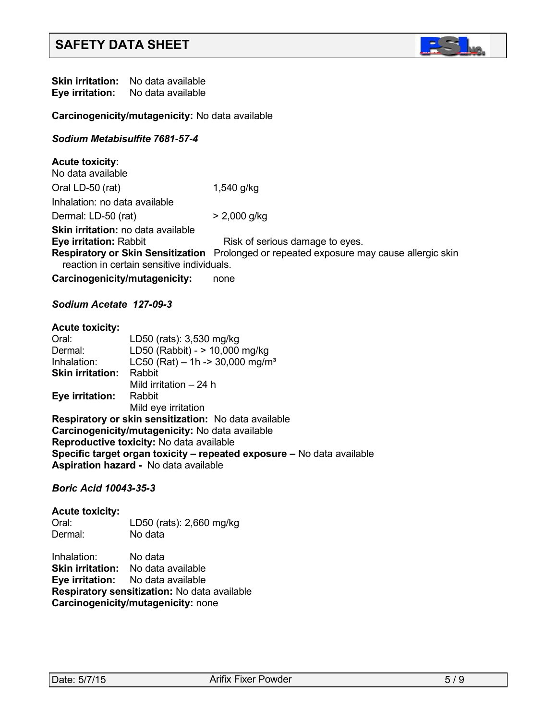

**Skin irritation:** No data available<br>**Eve irritation:** No data available **Eye** irritation:

**Carcinogenicity/mutagenicity:** No data available

#### *Sodium Metabisulfite 7681-57-4*

**Acute toxicity:** No data available Oral LD-50 (rat) 1,540 g/kg Inhalation: no data available Dermal: LD-50 (rat) > 2,000 g/kg **Skin irritation:** no data available<br>**Eye irritation:** Rabbit **Risk of serious damage to eyes. Respiratory or Skin Sensitization** Prolonged or repeated exposure may cause allergic skin reaction in certain sensitive individuals.

**Carcinogenicity/mutagenicity:** none

#### *Sodium Acetate 127-09-3*

| <b>Acute toxicity:</b>  |                                                                        |
|-------------------------|------------------------------------------------------------------------|
| Oral:                   | LD50 (rats): 3,530 mg/kg                                               |
| Dermal:                 | LD50 (Rabbit) - > 10,000 mg/kg                                         |
| Inhalation:             | LC50 (Rat) - 1h -> 30,000 mg/m <sup>3</sup>                            |
| <b>Skin irritation:</b> | Rabbit                                                                 |
|                         | Mild irritation – 24 h                                                 |
| Eye irritation:         | Rabbit                                                                 |
|                         | Mild eye irritation                                                    |
|                         | <b>Respiratory or skin sensitization:</b> No data available            |
|                         | Carcinogenicity/mutagenicity: No data available                        |
|                         | <b>Reproductive toxicity:</b> No data available                        |
|                         | Specific target organ toxicity – repeated exposure – No data available |
|                         | A sulvetism lessonal - Ale deta susilable                              |

**Aspiration hazard -** No data available

#### *Boric Acid 10043-35-3*

#### **Acute toxicity:** Oral: LD50 (rats): 2,660 mg/kg No data

Inhalation: No data **Skin irritation:** No data available **Eye irritation:** No data available **Respiratory sensitization:** No data available

**Carcinogenicity/mutagenicity:** none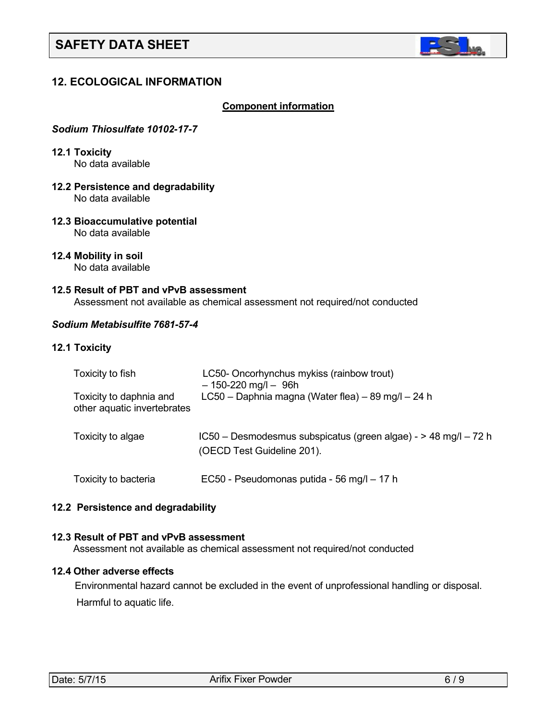

## **12. ECOLOGICAL INFORMATION**

#### *<sup>U</sup>***Component information**

#### *Sodium Thiosulfate 10102-17-7*

**12.1 Toxicity** No data available

- **12.2 Persistence and degradability** No data available
- **12.3 Bioaccumulative potential** No data available
- **12.4 Mobility in soil** No data available

#### **12.5 Result of PBT and vPvB assessment**

Assessment not available as chemical assessment not required/not conducted

#### *Sodium Metabisulfite 7681-57-4*

#### **12.1 Toxicity**

| Toxicity to fish                                       | LC50- Oncorhynchus mykiss (rainbow trout)<br>$-150-220$ mg/l $-96h$                           |
|--------------------------------------------------------|-----------------------------------------------------------------------------------------------|
| Toxicity to daphnia and<br>other aquatic invertebrates | LC50 - Daphnia magna (Water flea) - 89 mg/l - 24 h                                            |
| Toxicity to algae                                      | IC50 - Desmodesmus subspicatus (green algae) - > 48 mg/l - 72 h<br>(OECD Test Guideline 201). |
| Toxicity to bacteria                                   | EC50 - Pseudomonas putida - 56 mg/l - 17 h                                                    |

#### **12.2 Persistence and degradability**

#### **12.3 Result of PBT and vPvB assessment**

Assessment not available as chemical assessment not required/not conducted

#### **12.4 Other adverse effects**

 Environmental hazard cannot be excluded in the event of unprofessional handling or disposal. Harmful to aquatic life.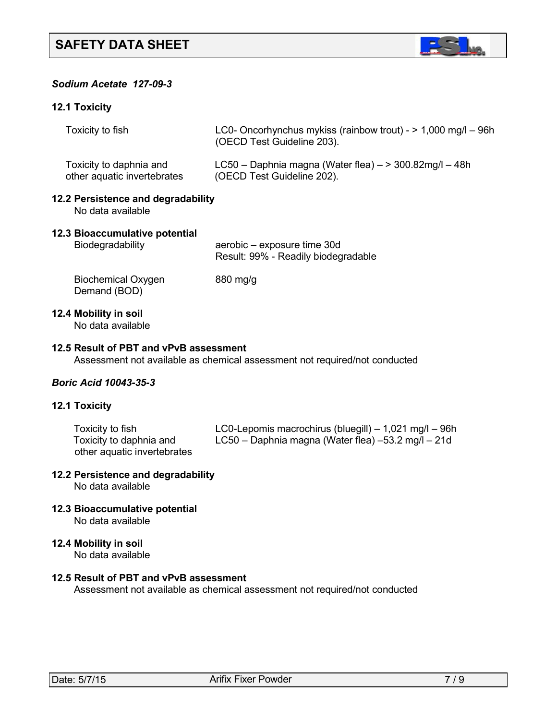

## *Sodium Acetate 127-09-3*

#### **12.1 Toxicity**

|                                                         | Toxicity to fish                                                           | LC0- Oncorhynchus mykiss (rainbow trout) - $> 1,000$ mg/l - 96h<br>(OECD Test Guideline 203).               |  |
|---------------------------------------------------------|----------------------------------------------------------------------------|-------------------------------------------------------------------------------------------------------------|--|
|                                                         | Toxicity to daphnia and<br>other aquatic invertebrates                     | LC50 - Daphnia magna (Water flea) $-$ > 300.82mg/l - 48h<br>(OECD Test Guideline 202).                      |  |
| 12.2 Persistence and degradability<br>No data available |                                                                            |                                                                                                             |  |
|                                                         | 12.3 Bioaccumulative potential<br>Biodegradability                         | aerobic – exposure time 30d<br>Result: 99% - Readily biodegradable                                          |  |
|                                                         | <b>Biochemical Oxygen</b><br>Demand (BOD)                                  | 880 mg/g                                                                                                    |  |
|                                                         | 12.4 Mobility in soil<br>No data available                                 |                                                                                                             |  |
|                                                         | 12.5 Result of PBT and vPvB assessment                                     | Assessment not available as chemical assessment not required/not conducted                                  |  |
|                                                         | <b>Boric Acid 10043-35-3</b>                                               |                                                                                                             |  |
|                                                         | <b>12.1 Toxicity</b>                                                       |                                                                                                             |  |
|                                                         | Toxicity to fish<br>Toxicity to daphnia and<br>other aquatic invertebrates | LC0-Lepomis macrochirus (bluegill) - 1,021 mg/l - 96h<br>LC50 - Daphnia magna (Water flea) -53.2 mg/l - 21d |  |

## **12.2 Persistence and degradability**

No data available

- **12.3 Bioaccumulative potential** No data available
- **12.4 Mobility in soil**

No data available

## **12.5 Result of PBT and vPvB assessment**

Assessment not available as chemical assessment not required/not conducted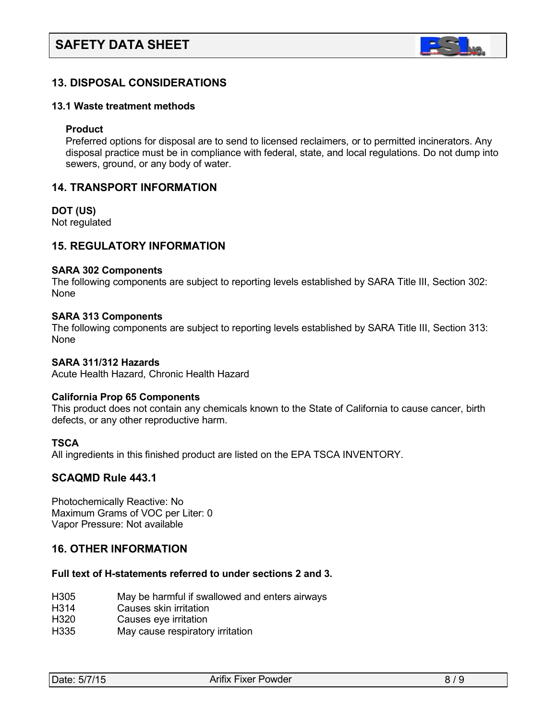

## **13. DISPOSAL CONSIDERATIONS**

#### **13.1 Waste treatment methods**

#### **Product**

Preferred options for disposal are to send to licensed reclaimers, or to permitted incinerators. Any disposal practice must be in compliance with federal, state, and local regulations. Do not dump into sewers, ground, or any body of water.

#### **14. TRANSPORT INFORMATION**

#### **DOT (US)**

Not regulated

#### **15. REGULATORY INFORMATION**

#### **SARA 302 Components**

The following components are subject to reporting levels established by SARA Title III, Section 302: None

#### **SARA 313 Components**

The following components are subject to reporting levels established by SARA Title III, Section 313: None

#### **SARA 311/312 Hazards**

Acute Health Hazard, Chronic Health Hazard

#### **California Prop 65 Components**

This product does not contain any chemicals known to the State of California to cause cancer, birth defects, or any other reproductive harm.

#### **TSCA**

All ingredients in this finished product are listed on the EPA TSCA INVENTORY.

#### **SCAQMD Rule 443.1**

Photochemically Reactive: No Maximum Grams of VOC per Liter: 0 Vapor Pressure: Not available

#### **16. OTHER INFORMATION**

#### **Full text of H-statements referred to under sections 2 and 3.**

- H305 May be harmful if swallowed and enters airways
- H314 Causes skin irritation
- H320 Causes eye irritation
- H335 May cause respiratory irritation